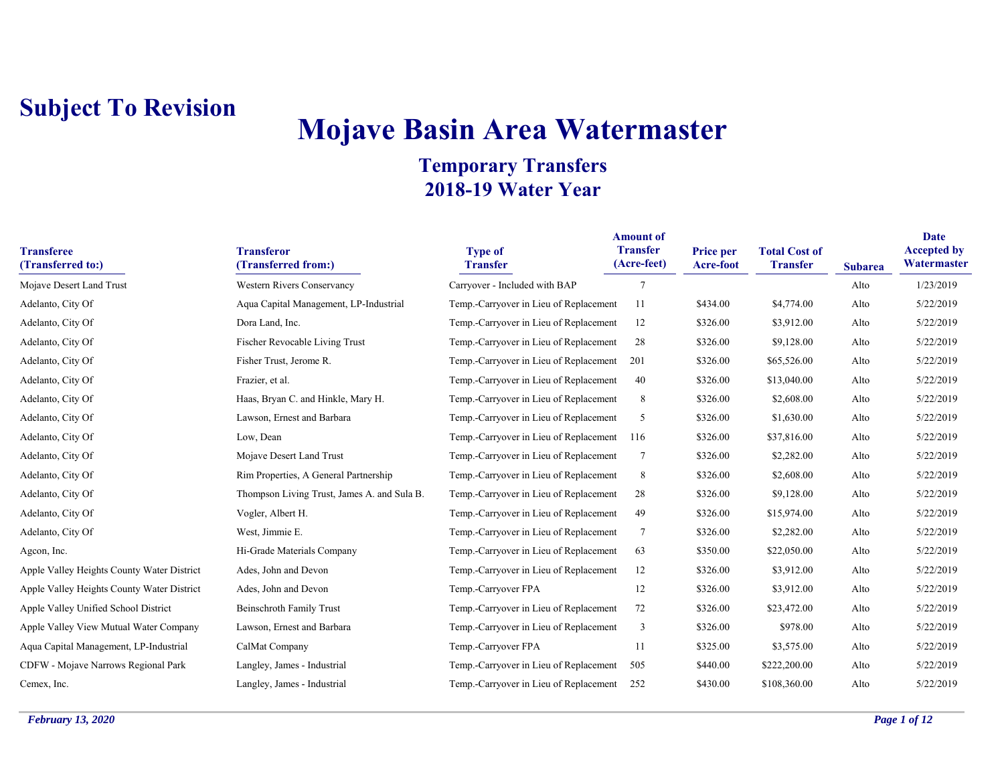# **Mojave Basin Area Watermaster**

| <b>Transferee</b><br>(Transferred to:)     | <b>Transferor</b><br>(Transferred from:)    | <b>Type of</b><br><b>Transfer</b>      | <b>Amount of</b><br><b>Transfer</b><br>(Acre-feet) | Price per<br>Acre-foot | <b>Total Cost of</b><br><b>Transfer</b> | <b>Subarea</b> | Date<br><b>Accepted by</b><br>Watermaster |
|--------------------------------------------|---------------------------------------------|----------------------------------------|----------------------------------------------------|------------------------|-----------------------------------------|----------------|-------------------------------------------|
| Mojave Desert Land Trust                   | <b>Western Rivers Conservancy</b>           | Carryover - Included with BAP          | $\tau$                                             |                        |                                         | Alto           | 1/23/2019                                 |
| Adelanto, City Of                          | Aqua Capital Management, LP-Industrial      | Temp.-Carryover in Lieu of Replacement | 11                                                 | \$434.00               | \$4,774.00                              | Alto           | 5/22/2019                                 |
| Adelanto, City Of                          | Dora Land, Inc.                             | Temp.-Carryover in Lieu of Replacement | 12                                                 | \$326.00               | \$3,912.00                              | Alto           | 5/22/2019                                 |
| Adelanto, City Of                          | Fischer Revocable Living Trust              | Temp.-Carryover in Lieu of Replacement | 28                                                 | \$326.00               | \$9,128.00                              | Alto           | 5/22/2019                                 |
| Adelanto, City Of                          | Fisher Trust, Jerome R.                     | Temp.-Carryover in Lieu of Replacement | 201                                                | \$326.00               | \$65,526.00                             | Alto           | 5/22/2019                                 |
| Adelanto, City Of                          | Frazier, et al.                             | Temp.-Carryover in Lieu of Replacement | 40                                                 | \$326.00               | \$13,040.00                             | Alto           | 5/22/2019                                 |
| Adelanto, City Of                          | Haas, Bryan C. and Hinkle, Mary H.          | Temp.-Carryover in Lieu of Replacement | 8                                                  | \$326.00               | \$2,608.00                              | Alto           | 5/22/2019                                 |
| Adelanto, City Of                          | Lawson, Ernest and Barbara                  | Temp.-Carryover in Lieu of Replacement | 5                                                  | \$326.00               | \$1,630.00                              | Alto           | 5/22/2019                                 |
| Adelanto, City Of                          | Low, Dean                                   | Temp.-Carryover in Lieu of Replacement | 116                                                | \$326.00               | \$37,816.00                             | Alto           | 5/22/2019                                 |
| Adelanto, City Of                          | Mojave Desert Land Trust                    | Temp.-Carryover in Lieu of Replacement | $\overline{7}$                                     | \$326.00               | \$2,282.00                              | Alto           | 5/22/2019                                 |
| Adelanto, City Of                          | Rim Properties, A General Partnership       | Temp.-Carryover in Lieu of Replacement | 8                                                  | \$326.00               | \$2,608.00                              | Alto           | 5/22/2019                                 |
| Adelanto, City Of                          | Thompson Living Trust, James A. and Sula B. | Temp.-Carryover in Lieu of Replacement | 28                                                 | \$326.00               | \$9,128.00                              | Alto           | 5/22/2019                                 |
| Adelanto, City Of                          | Vogler, Albert H.                           | Temp.-Carryover in Lieu of Replacement | 49                                                 | \$326.00               | \$15,974.00                             | Alto           | 5/22/2019                                 |
| Adelanto, City Of                          | West, Jimmie E.                             | Temp.-Carryover in Lieu of Replacement | $\overline{7}$                                     | \$326.00               | \$2,282.00                              | Alto           | 5/22/2019                                 |
| Agcon, Inc.                                | Hi-Grade Materials Company                  | Temp.-Carryover in Lieu of Replacement | 63                                                 | \$350.00               | \$22,050.00                             | Alto           | 5/22/2019                                 |
| Apple Valley Heights County Water District | Ades, John and Devon                        | Temp.-Carryover in Lieu of Replacement | 12                                                 | \$326.00               | \$3,912.00                              | Alto           | 5/22/2019                                 |
| Apple Valley Heights County Water District | Ades, John and Devon                        | Temp.-Carryover FPA                    | 12                                                 | \$326.00               | \$3,912.00                              | Alto           | 5/22/2019                                 |
| Apple Valley Unified School District       | <b>Beinschroth Family Trust</b>             | Temp.-Carryover in Lieu of Replacement | 72                                                 | \$326.00               | \$23,472.00                             | Alto           | 5/22/2019                                 |
| Apple Valley View Mutual Water Company     | Lawson, Ernest and Barbara                  | Temp.-Carryover in Lieu of Replacement | 3                                                  | \$326.00               | \$978.00                                | Alto           | 5/22/2019                                 |
| Aqua Capital Management, LP-Industrial     | CalMat Company                              | Temp.-Carryover FPA                    | 11                                                 | \$325.00               | \$3,575.00                              | Alto           | 5/22/2019                                 |
| CDFW - Mojave Narrows Regional Park        | Langley, James - Industrial                 | Temp.-Carryover in Lieu of Replacement | 505                                                | \$440.00               | \$222,200.00                            | Alto           | 5/22/2019                                 |
| Cemex, Inc.                                | Langley, James - Industrial                 | Temp.-Carryover in Lieu of Replacement | 252                                                | \$430.00               | \$108,360.00                            | Alto           | 5/22/2019                                 |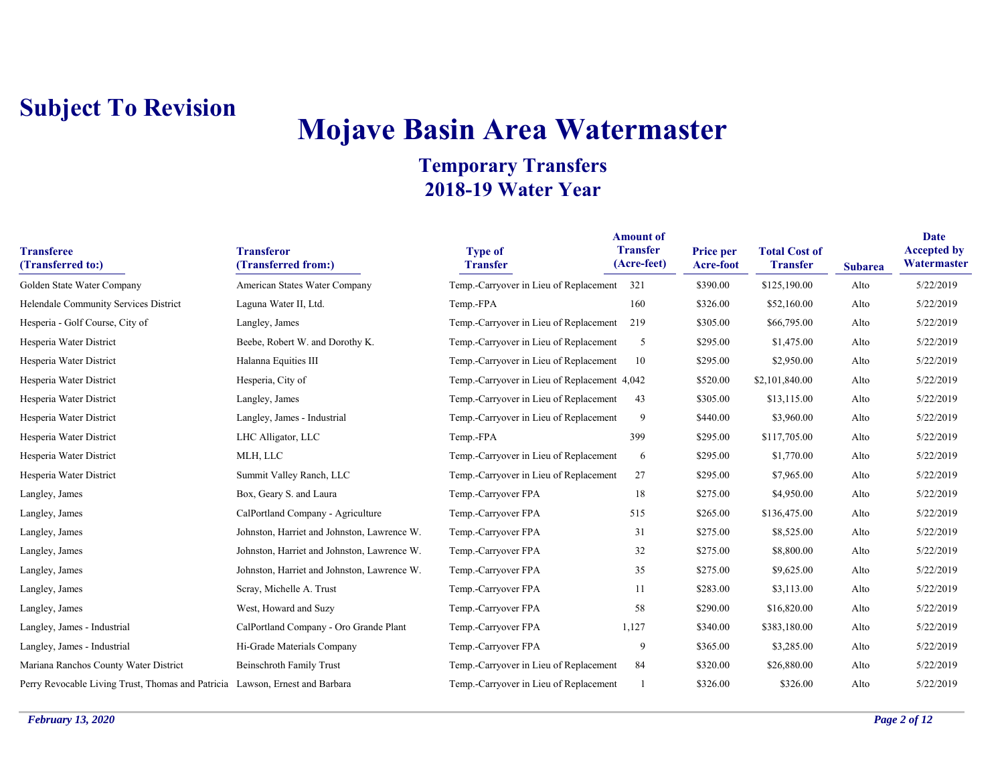# **Mojave Basin Area Watermaster**

| <b>Transferee</b><br>(Transferred to:)                                       | <b>Transferor</b><br>(Transferred from:)    | <b>Type of</b><br><b>Transfer</b>            | <b>Amount of</b><br><b>Transfer</b><br>(Acre-feet) | <b>Price per</b><br>Acre-foot | <b>Total Cost of</b><br><b>Transfer</b> | <b>Subarea</b> | Date<br><b>Accepted by</b><br>Watermaster |
|------------------------------------------------------------------------------|---------------------------------------------|----------------------------------------------|----------------------------------------------------|-------------------------------|-----------------------------------------|----------------|-------------------------------------------|
| Golden State Water Company                                                   | American States Water Company               | Temp.-Carryover in Lieu of Replacement 321   |                                                    | \$390.00                      | \$125,190.00                            | Alto           | 5/22/2019                                 |
| Helendale Community Services District                                        | Laguna Water II, Ltd.                       | Temp.-FPA                                    | 160                                                | \$326.00                      | \$52,160.00                             | Alto           | 5/22/2019                                 |
| Hesperia - Golf Course, City of                                              | Langley, James                              | Temp.-Carryover in Lieu of Replacement       | 219                                                | \$305.00                      | \$66,795.00                             | Alto           | 5/22/2019                                 |
| Hesperia Water District                                                      | Beebe, Robert W. and Dorothy K.             | Temp.-Carryover in Lieu of Replacement       | 5                                                  | \$295.00                      | \$1,475.00                              | Alto           | 5/22/2019                                 |
| Hesperia Water District                                                      | Halanna Equities III                        | Temp.-Carryover in Lieu of Replacement       | 10                                                 | \$295.00                      | \$2,950.00                              | Alto           | 5/22/2019                                 |
| Hesperia Water District                                                      | Hesperia, City of                           | Temp.-Carryover in Lieu of Replacement 4,042 |                                                    | \$520.00                      | \$2,101,840.00                          | Alto           | 5/22/2019                                 |
| Hesperia Water District                                                      | Langley, James                              | Temp.-Carryover in Lieu of Replacement       | 43                                                 | \$305.00                      | \$13,115.00                             | Alto           | 5/22/2019                                 |
| Hesperia Water District                                                      | Langley, James - Industrial                 | Temp.-Carryover in Lieu of Replacement       | 9                                                  | \$440.00                      | \$3,960.00                              | Alto           | 5/22/2019                                 |
| Hesperia Water District                                                      | LHC Alligator, LLC                          | Temp.-FPA                                    | 399                                                | \$295.00                      | \$117,705.00                            | Alto           | 5/22/2019                                 |
| Hesperia Water District                                                      | MLH, LLC                                    | Temp.-Carryover in Lieu of Replacement       | 6                                                  | \$295.00                      | \$1,770.00                              | Alto           | 5/22/2019                                 |
| Hesperia Water District                                                      | Summit Valley Ranch, LLC                    | Temp.-Carryover in Lieu of Replacement       | 27                                                 | \$295.00                      | \$7,965.00                              | Alto           | 5/22/2019                                 |
| Langley, James                                                               | Box, Geary S. and Laura                     | Temp.-Carryover FPA                          | 18                                                 | \$275.00                      | \$4,950.00                              | Alto           | 5/22/2019                                 |
| Langley, James                                                               | CalPortland Company - Agriculture           | Temp.-Carryover FPA                          | 515                                                | \$265.00                      | \$136,475.00                            | Alto           | 5/22/2019                                 |
| Langley, James                                                               | Johnston, Harriet and Johnston, Lawrence W. | Temp.-Carryover FPA                          | 31                                                 | \$275.00                      | \$8,525.00                              | Alto           | 5/22/2019                                 |
| Langley, James                                                               | Johnston, Harriet and Johnston, Lawrence W. | Temp.-Carryover FPA                          | 32                                                 | \$275.00                      | \$8,800.00                              | Alto           | 5/22/2019                                 |
| Langley, James                                                               | Johnston, Harriet and Johnston, Lawrence W. | Temp.-Carryover FPA                          | 35                                                 | \$275.00                      | \$9,625.00                              | Alto           | 5/22/2019                                 |
| Langley, James                                                               | Scray, Michelle A. Trust                    | Temp.-Carryover FPA                          | 11                                                 | \$283.00                      | \$3,113.00                              | Alto           | 5/22/2019                                 |
| Langley, James                                                               | West, Howard and Suzy                       | Temp.-Carryover FPA                          | 58                                                 | \$290.00                      | \$16,820.00                             | Alto           | 5/22/2019                                 |
| Langley, James - Industrial                                                  | CalPortland Company - Oro Grande Plant      | Temp.-Carryover FPA                          | 1,127                                              | \$340.00                      | \$383,180.00                            | Alto           | 5/22/2019                                 |
| Langley, James - Industrial                                                  | Hi-Grade Materials Company                  | Temp.-Carryover FPA                          | 9                                                  | \$365.00                      | \$3,285.00                              | Alto           | 5/22/2019                                 |
| Mariana Ranchos County Water District                                        | <b>Beinschroth Family Trust</b>             | Temp.-Carryover in Lieu of Replacement       | 84                                                 | \$320.00                      | \$26,880.00                             | Alto           | 5/22/2019                                 |
| Perry Revocable Living Trust, Thomas and Patricia Lawson, Ernest and Barbara |                                             | Temp.-Carryover in Lieu of Replacement       |                                                    | \$326.00                      | \$326.00                                | Alto           | 5/22/2019                                 |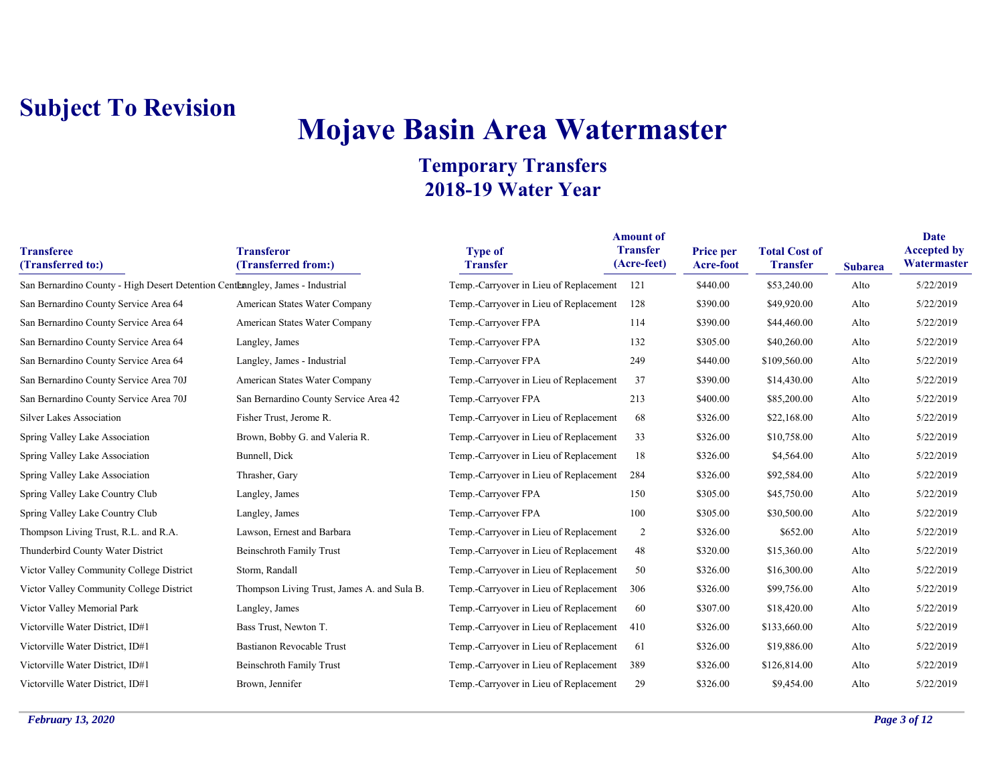# **Mojave Basin Area Watermaster**

| <b>Transferee</b><br>(Transferred to:)                                        | <b>Transferor</b><br>(Transferred from:)    | <b>Type of</b><br><b>Transfer</b>          | <b>Amount of</b><br><b>Transfer</b><br>(Acre-feet) | Price per<br>Acre-foot | <b>Total Cost of</b><br><b>Transfer</b> | <b>Subarea</b> | <b>Date</b><br><b>Accepted by</b><br>Watermaster |
|-------------------------------------------------------------------------------|---------------------------------------------|--------------------------------------------|----------------------------------------------------|------------------------|-----------------------------------------|----------------|--------------------------------------------------|
| San Bernardino County - High Desert Detention Centeangley, James - Industrial |                                             | Temp.-Carryover in Lieu of Replacement 121 |                                                    | \$440.00               | \$53,240.00                             | Alto           | 5/22/2019                                        |
| San Bernardino County Service Area 64                                         | American States Water Company               | Temp.-Carryover in Lieu of Replacement     | 128                                                | \$390.00               | \$49,920.00                             | Alto           | 5/22/2019                                        |
| San Bernardino County Service Area 64                                         | American States Water Company               | Temp.-Carryover FPA                        | 114                                                | \$390.00               | \$44,460.00                             | Alto           | 5/22/2019                                        |
| San Bernardino County Service Area 64                                         | Langley, James                              | Temp.-Carryover FPA                        | 132                                                | \$305.00               | \$40,260.00                             | Alto           | 5/22/2019                                        |
| San Bernardino County Service Area 64                                         | Langley, James - Industrial                 | Temp.-Carryover FPA                        | 249                                                | \$440.00               | \$109,560.00                            | Alto           | 5/22/2019                                        |
| San Bernardino County Service Area 70J                                        | American States Water Company               | Temp.-Carryover in Lieu of Replacement     | 37                                                 | \$390.00               | \$14,430.00                             | Alto           | 5/22/2019                                        |
| San Bernardino County Service Area 70J                                        | San Bernardino County Service Area 42       | Temp.-Carryover FPA                        | 213                                                | \$400.00               | \$85,200.00                             | Alto           | 5/22/2019                                        |
| <b>Silver Lakes Association</b>                                               | Fisher Trust, Jerome R.                     | Temp.-Carryover in Lieu of Replacement     | 68                                                 | \$326.00               | \$22,168.00                             | Alto           | 5/22/2019                                        |
| Spring Valley Lake Association                                                | Brown, Bobby G. and Valeria R.              | Temp.-Carryover in Lieu of Replacement     | 33                                                 | \$326.00               | \$10,758.00                             | Alto           | 5/22/2019                                        |
| Spring Valley Lake Association                                                | Bunnell, Dick                               | Temp.-Carryover in Lieu of Replacement     | 18                                                 | \$326.00               | \$4,564.00                              | Alto           | 5/22/2019                                        |
| Spring Valley Lake Association                                                | Thrasher, Gary                              | Temp.-Carryover in Lieu of Replacement     | 284                                                | \$326.00               | \$92,584.00                             | Alto           | 5/22/2019                                        |
| Spring Valley Lake Country Club                                               | Langley, James                              | Temp.-Carryover FPA                        | 150                                                | \$305.00               | \$45,750.00                             | Alto           | 5/22/2019                                        |
| Spring Valley Lake Country Club                                               | Langley, James                              | Temp.-Carryover FPA                        | 100                                                | \$305.00               | \$30,500.00                             | Alto           | 5/22/2019                                        |
| Thompson Living Trust, R.L. and R.A.                                          | Lawson, Ernest and Barbara                  | Temp.-Carryover in Lieu of Replacement     | 2                                                  | \$326.00               | \$652.00                                | Alto           | 5/22/2019                                        |
| Thunderbird County Water District                                             | Beinschroth Family Trust                    | Temp.-Carryover in Lieu of Replacement     | 48                                                 | \$320.00               | \$15,360.00                             | Alto           | 5/22/2019                                        |
| Victor Valley Community College District                                      | Storm, Randall                              | Temp.-Carryover in Lieu of Replacement     | 50                                                 | \$326.00               | \$16,300.00                             | Alto           | 5/22/2019                                        |
| Victor Valley Community College District                                      | Thompson Living Trust, James A. and Sula B. | Temp.-Carryover in Lieu of Replacement     | 306                                                | \$326.00               | \$99,756.00                             | Alto           | 5/22/2019                                        |
| Victor Valley Memorial Park                                                   | Langley, James                              | Temp.-Carryover in Lieu of Replacement     | 60                                                 | \$307.00               | \$18,420.00                             | Alto           | 5/22/2019                                        |
| Victorville Water District, ID#1                                              | Bass Trust, Newton T.                       | Temp.-Carryover in Lieu of Replacement     | 410                                                | \$326.00               | \$133,660.00                            | Alto           | 5/22/2019                                        |
| Victorville Water District, ID#1                                              | <b>Bastianon Revocable Trust</b>            | Temp.-Carryover in Lieu of Replacement     | -61                                                | \$326.00               | \$19,886.00                             | Alto           | 5/22/2019                                        |
| Victorville Water District, ID#1                                              | <b>Beinschroth Family Trust</b>             | Temp.-Carryover in Lieu of Replacement     | 389                                                | \$326.00               | \$126,814.00                            | Alto           | 5/22/2019                                        |
| Victorville Water District, ID#1                                              | Brown, Jennifer                             | Temp.-Carryover in Lieu of Replacement     | 29                                                 | \$326.00               | \$9,454.00                              | Alto           | 5/22/2019                                        |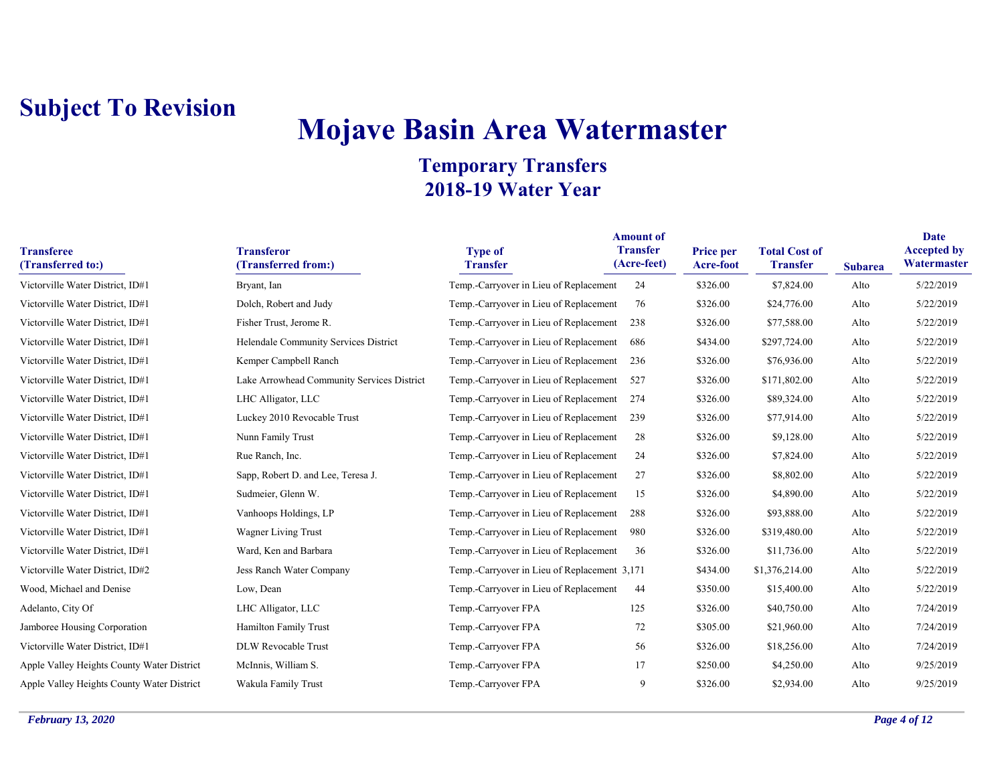# **Mojave Basin Area Watermaster**

| <b>Transferee</b><br>(Transferred to:)     | <b>Transferor</b><br>(Transferred from:)   | <b>Type of</b><br><b>Transfer</b>            | <b>Amount of</b><br><b>Transfer</b><br>(Acre-feet) | Price per<br>Acre-foot | <b>Total Cost of</b><br><b>Transfer</b> | <b>Subarea</b> | Date<br><b>Accepted by</b><br>Watermaster |
|--------------------------------------------|--------------------------------------------|----------------------------------------------|----------------------------------------------------|------------------------|-----------------------------------------|----------------|-------------------------------------------|
| Victorville Water District, ID#1           | Bryant, Ian                                | Temp.-Carryover in Lieu of Replacement       | 24                                                 | \$326.00               | \$7,824.00                              | Alto           | 5/22/2019                                 |
| Victorville Water District, ID#1           | Dolch, Robert and Judy                     | Temp.-Carryover in Lieu of Replacement       | 76                                                 | \$326.00               | \$24,776.00                             | Alto           | 5/22/2019                                 |
| Victorville Water District, ID#1           | Fisher Trust, Jerome R.                    | Temp.-Carryover in Lieu of Replacement       | 238                                                | \$326.00               | \$77,588.00                             | Alto           | 5/22/2019                                 |
| Victorville Water District, ID#1           | Helendale Community Services District      | Temp.-Carryover in Lieu of Replacement       | 686                                                | \$434.00               | \$297,724.00                            | Alto           | 5/22/2019                                 |
| Victorville Water District, ID#1           | Kemper Campbell Ranch                      | Temp.-Carryover in Lieu of Replacement       | 236                                                | \$326.00               | \$76,936.00                             | Alto           | 5/22/2019                                 |
| Victorville Water District, ID#1           | Lake Arrowhead Community Services District | Temp.-Carryover in Lieu of Replacement       | 527                                                | \$326.00               | \$171,802.00                            | Alto           | 5/22/2019                                 |
| Victorville Water District, ID#1           | LHC Alligator, LLC                         | Temp.-Carryover in Lieu of Replacement       | 274                                                | \$326.00               | \$89,324.00                             | Alto           | 5/22/2019                                 |
| Victorville Water District, ID#1           | Luckey 2010 Revocable Trust                | Temp.-Carryover in Lieu of Replacement       | 239                                                | \$326.00               | \$77,914.00                             | Alto           | 5/22/2019                                 |
| Victorville Water District, ID#1           | Nunn Family Trust                          | Temp.-Carryover in Lieu of Replacement       | 28                                                 | \$326.00               | \$9,128.00                              | Alto           | 5/22/2019                                 |
| Victorville Water District, ID#1           | Rue Ranch, Inc.                            | Temp.-Carryover in Lieu of Replacement       | 24                                                 | \$326.00               | \$7,824.00                              | Alto           | 5/22/2019                                 |
| Victorville Water District, ID#1           | Sapp, Robert D. and Lee, Teresa J.         | Temp.-Carryover in Lieu of Replacement       | 27                                                 | \$326.00               | \$8,802.00                              | Alto           | 5/22/2019                                 |
| Victorville Water District, ID#1           | Sudmeier, Glenn W.                         | Temp.-Carryover in Lieu of Replacement       | 15                                                 | \$326.00               | \$4,890.00                              | Alto           | 5/22/2019                                 |
| Victorville Water District, ID#1           | Vanhoops Holdings, LP                      | Temp.-Carryover in Lieu of Replacement       | 288                                                | \$326.00               | \$93,888.00                             | Alto           | 5/22/2019                                 |
| Victorville Water District, ID#1           | Wagner Living Trust                        | Temp.-Carryover in Lieu of Replacement       | 980                                                | \$326.00               | \$319,480.00                            | Alto           | 5/22/2019                                 |
| Victorville Water District, ID#1           | Ward, Ken and Barbara                      | Temp.-Carryover in Lieu of Replacement       | 36                                                 | \$326.00               | \$11,736.00                             | Alto           | 5/22/2019                                 |
| Victorville Water District, ID#2           | Jess Ranch Water Company                   | Temp.-Carryover in Lieu of Replacement 3,171 |                                                    | \$434.00               | \$1,376,214.00                          | Alto           | 5/22/2019                                 |
| Wood, Michael and Denise                   | Low, Dean                                  | Temp.-Carryover in Lieu of Replacement       | 44                                                 | \$350.00               | \$15,400.00                             | Alto           | 5/22/2019                                 |
| Adelanto, City Of                          | LHC Alligator, LLC                         | Temp.-Carryover FPA                          | 125                                                | \$326.00               | \$40,750.00                             | Alto           | 7/24/2019                                 |
| Jamboree Housing Corporation               | Hamilton Family Trust                      | Temp.-Carryover FPA                          | 72                                                 | \$305.00               | \$21,960.00                             | Alto           | 7/24/2019                                 |
| Victorville Water District, ID#1           | DLW Revocable Trust                        | Temp.-Carryover FPA                          | 56                                                 | \$326.00               | \$18,256.00                             | Alto           | 7/24/2019                                 |
| Apple Valley Heights County Water District | McInnis, William S.                        | Temp.-Carryover FPA                          | 17                                                 | \$250.00               | \$4,250.00                              | Alto           | 9/25/2019                                 |
| Apple Valley Heights County Water District | Wakula Family Trust                        | Temp.-Carryover FPA                          | 9                                                  | \$326.00               | \$2,934.00                              | Alto           | 9/25/2019                                 |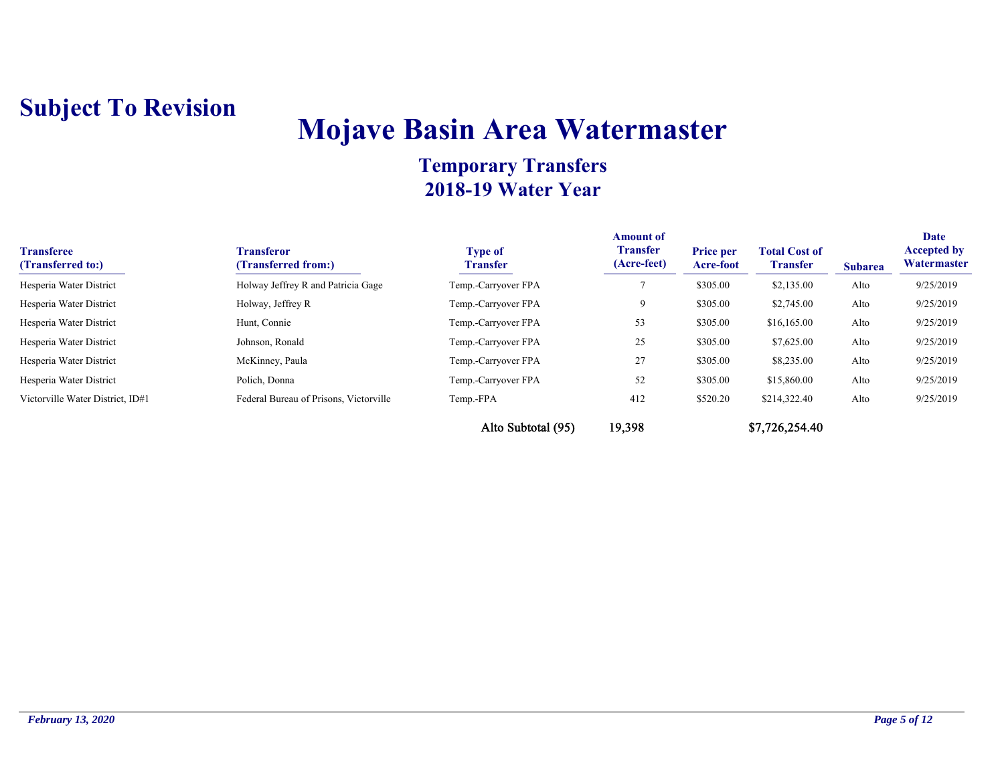## **Mojave Basin Area Watermaster**

| <b>Transferee</b><br>(Transferred to:) | <b>Transferor</b><br>(Transferred from:) | <b>Type of</b><br><b>Transfer</b> | <b>Amount of</b><br><b>Transfer</b><br>(Acre-feet) | <b>Price per</b><br><b>Acre-foot</b> | <b>Total Cost of</b><br><b>Transfer</b> | <b>Subarea</b> | Date<br><b>Accepted by</b><br>Watermaster |
|----------------------------------------|------------------------------------------|-----------------------------------|----------------------------------------------------|--------------------------------------|-----------------------------------------|----------------|-------------------------------------------|
| Hesperia Water District                | Holway Jeffrey R and Patricia Gage       | Temp.-Carryover FPA               |                                                    | \$305.00                             | \$2,135.00                              | Alto           | 9/25/2019                                 |
| Hesperia Water District                | Holway, Jeffrey R                        | Temp.-Carryover FPA               |                                                    | \$305.00                             | \$2,745.00                              | Alto           | 9/25/2019                                 |
| Hesperia Water District                | Hunt, Connie                             | Temp.-Carryover FPA               | 53                                                 | \$305.00                             | \$16,165.00                             | Alto           | 9/25/2019                                 |
| Hesperia Water District                | Johnson, Ronald                          | Temp.-Carryover FPA               | 25                                                 | \$305.00                             | \$7,625.00                              | Alto           | 9/25/2019                                 |
| Hesperia Water District                | McKinney, Paula                          | Temp.-Carryover FPA               | 27                                                 | \$305.00                             | \$8,235.00                              | Alto           | 9/25/2019                                 |
| Hesperia Water District                | Polich, Donna                            | Temp.-Carryover FPA               | 52                                                 | \$305.00                             | \$15,860.00                             | Alto           | 9/25/2019                                 |
| Victorville Water District, ID#1       | Federal Bureau of Prisons, Victorville   | Temp.-FPA                         | 412                                                | \$520.20                             | \$214,322.40                            | Alto           | 9/25/2019                                 |
|                                        |                                          | Alto Subtotal (95)                | 19,398                                             |                                      | \$7,726,254.40                          |                |                                           |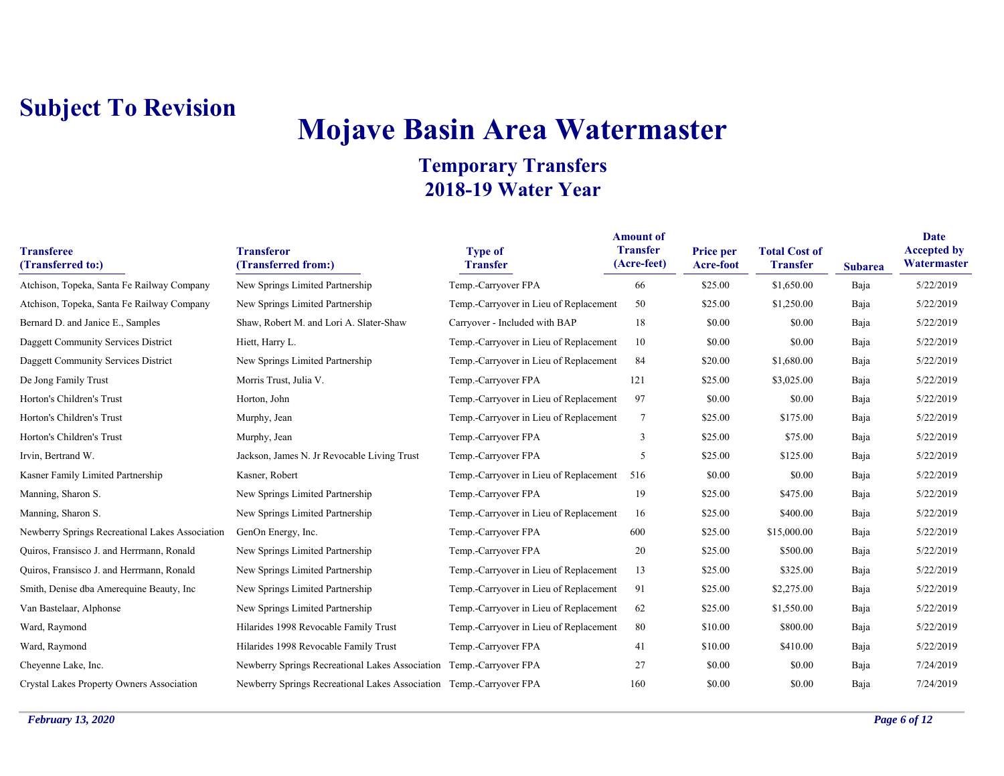# **Mojave Basin Area Watermaster**

| <b>Transferee</b><br>(Transferred to:)          | <b>Transferor</b><br>(Transferred from:)                            | <b>Type of</b><br><b>Transfer</b>      | <b>Amount of</b><br><b>Transfer</b><br>(Acre-feet) | Price per<br>Acre-foot | <b>Total Cost of</b><br><b>Transfer</b> | <b>Subarea</b> | Date<br><b>Accepted by</b><br>Watermaster |
|-------------------------------------------------|---------------------------------------------------------------------|----------------------------------------|----------------------------------------------------|------------------------|-----------------------------------------|----------------|-------------------------------------------|
| Atchison, Topeka, Santa Fe Railway Company      | New Springs Limited Partnership                                     | Temp.-Carryover FPA                    | 66                                                 | \$25.00                | \$1,650.00                              | Baja           | 5/22/2019                                 |
| Atchison, Topeka, Santa Fe Railway Company      | New Springs Limited Partnership                                     | Temp.-Carryover in Lieu of Replacement | 50                                                 | \$25.00                | \$1,250.00                              | Baja           | 5/22/2019                                 |
| Bernard D. and Janice E., Samples               | Shaw, Robert M. and Lori A. Slater-Shaw                             | Carryover - Included with BAP          | 18                                                 | \$0.00                 | \$0.00                                  | Baja           | 5/22/2019                                 |
| Daggett Community Services District             | Hiett, Harry L.                                                     | Temp.-Carryover in Lieu of Replacement | 10                                                 | \$0.00                 | \$0.00                                  | Baja           | 5/22/2019                                 |
| Daggett Community Services District             | New Springs Limited Partnership                                     | Temp.-Carryover in Lieu of Replacement | 84                                                 | \$20.00                | \$1,680.00                              | Baja           | 5/22/2019                                 |
| De Jong Family Trust                            | Morris Trust, Julia V.                                              | Temp.-Carryover FPA                    | 121                                                | \$25.00                | \$3,025.00                              | Baja           | 5/22/2019                                 |
| Horton's Children's Trust                       | Horton, John                                                        | Temp.-Carryover in Lieu of Replacement | 97                                                 | \$0.00                 | \$0.00                                  | Baja           | 5/22/2019                                 |
| Horton's Children's Trust                       | Murphy, Jean                                                        | Temp.-Carryover in Lieu of Replacement | 7                                                  | \$25.00                | \$175.00                                | Baja           | 5/22/2019                                 |
| Horton's Children's Trust                       | Murphy, Jean                                                        | Temp.-Carryover FPA                    | 3                                                  | \$25.00                | \$75.00                                 | Baja           | 5/22/2019                                 |
| Irvin, Bertrand W.                              | Jackson, James N. Jr Revocable Living Trust                         | Temp.-Carryover FPA                    | 5                                                  | \$25.00                | \$125.00                                | Baja           | 5/22/2019                                 |
| Kasner Family Limited Partnership               | Kasner, Robert                                                      | Temp.-Carryover in Lieu of Replacement | 516                                                | \$0.00                 | \$0.00                                  | Baja           | 5/22/2019                                 |
| Manning, Sharon S.                              | New Springs Limited Partnership                                     | Temp.-Carryover FPA                    | 19                                                 | \$25.00                | \$475.00                                | Baja           | 5/22/2019                                 |
| Manning, Sharon S.                              | New Springs Limited Partnership                                     | Temp.-Carryover in Lieu of Replacement | 16                                                 | \$25.00                | \$400.00                                | Baja           | 5/22/2019                                 |
| Newberry Springs Recreational Lakes Association | GenOn Energy, Inc.                                                  | Temp.-Carryover FPA                    | 600                                                | \$25.00                | \$15,000.00                             | Baja           | 5/22/2019                                 |
| Quiros, Fransisco J. and Herrmann, Ronald       | New Springs Limited Partnership                                     | Temp.-Carryover FPA                    | 20                                                 | \$25.00                | \$500.00                                | Baja           | 5/22/2019                                 |
| Quiros, Fransisco J. and Herrmann, Ronald       | New Springs Limited Partnership                                     | Temp.-Carryover in Lieu of Replacement | 13                                                 | \$25.00                | \$325.00                                | Baja           | 5/22/2019                                 |
| Smith, Denise dba Amerequine Beauty, Inc.       | New Springs Limited Partnership                                     | Temp.-Carryover in Lieu of Replacement | 91                                                 | \$25.00                | \$2,275.00                              | Baja           | 5/22/2019                                 |
| Van Bastelaar, Alphonse                         | New Springs Limited Partnership                                     | Temp.-Carryover in Lieu of Replacement | 62                                                 | \$25.00                | \$1,550.00                              | Baja           | 5/22/2019                                 |
| Ward, Raymond                                   | Hilarides 1998 Revocable Family Trust                               | Temp.-Carryover in Lieu of Replacement | 80                                                 | \$10.00                | \$800.00                                | Baja           | 5/22/2019                                 |
| Ward, Raymond                                   | Hilarides 1998 Revocable Family Trust                               | Temp.-Carryover FPA                    | 41                                                 | \$10.00                | \$410.00                                | Baja           | 5/22/2019                                 |
| Cheyenne Lake, Inc.                             | Newberry Springs Recreational Lakes Association Temp.-Carryover FPA |                                        | 27                                                 | \$0.00                 | \$0.00                                  | Baja           | 7/24/2019                                 |
| Crystal Lakes Property Owners Association       | Newberry Springs Recreational Lakes Association Temp.-Carryover FPA |                                        | 160                                                | \$0.00                 | \$0.00                                  | Baja           | 7/24/2019                                 |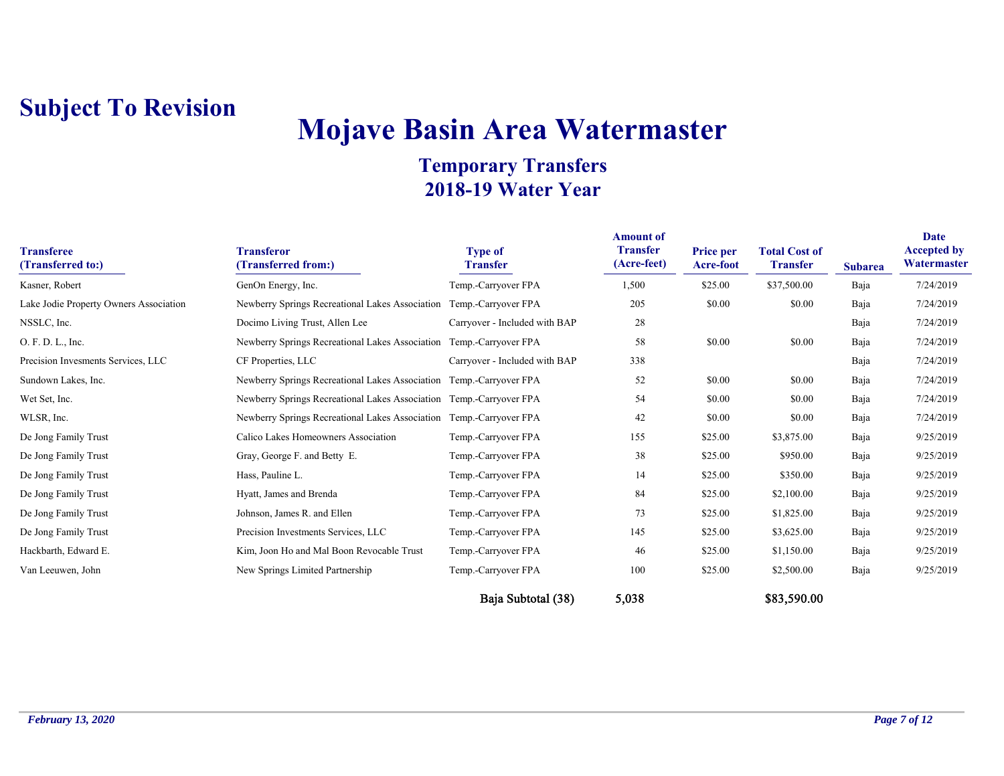# **Mojave Basin Area Watermaster**

| <b>Transferee</b><br>(Transferred to:) | <b>Transferor</b><br>(Transferred from:)                            | <b>Type of</b><br><b>Transfer</b> | <b>Amount of</b><br><b>Transfer</b><br>(Acre-feet) | <b>Price per</b><br>Acre-foot | <b>Total Cost of</b><br><b>Transfer</b> | <b>Subarea</b> | <b>Date</b><br><b>Accepted by</b><br>Watermaster |
|----------------------------------------|---------------------------------------------------------------------|-----------------------------------|----------------------------------------------------|-------------------------------|-----------------------------------------|----------------|--------------------------------------------------|
| Kasner, Robert                         | GenOn Energy, Inc.                                                  | Temp.-Carryover FPA               | 1,500                                              | \$25.00                       | \$37,500.00                             | Baja           | 7/24/2019                                        |
| Lake Jodie Property Owners Association | Newberry Springs Recreational Lakes Association Temp.-Carryover FPA |                                   | 205                                                | \$0.00                        | \$0.00                                  | Baja           | 7/24/2019                                        |
| NSSLC, Inc.                            | Docimo Living Trust, Allen Lee                                      | Carryover - Included with BAP     | 28                                                 |                               |                                         | Baja           | 7/24/2019                                        |
| O. F. D. L., Inc.                      | Newberry Springs Recreational Lakes Association Temp.-Carryover FPA |                                   | 58                                                 | \$0.00                        | \$0.00                                  | Baja           | 7/24/2019                                        |
| Precision Invesments Services, LLC     | CF Properties, LLC                                                  | Carryover - Included with BAP     | 338                                                |                               |                                         | Baja           | 7/24/2019                                        |
| Sundown Lakes, Inc.                    | Newberry Springs Recreational Lakes Association Temp.-Carryover FPA |                                   | 52                                                 | \$0.00                        | \$0.00                                  | Baja           | 7/24/2019                                        |
| Wet Set, Inc.                          | Newberry Springs Recreational Lakes Association Temp.-Carryover FPA |                                   | 54                                                 | \$0.00                        | \$0.00                                  | Baja           | 7/24/2019                                        |
| WLSR, Inc.                             | Newberry Springs Recreational Lakes Association Temp.-Carryover FPA |                                   | 42                                                 | \$0.00                        | \$0.00                                  | Baja           | 7/24/2019                                        |
| De Jong Family Trust                   | Calico Lakes Homeowners Association                                 | Temp.-Carryover FPA               | 155                                                | \$25.00                       | \$3,875.00                              | Baja           | 9/25/2019                                        |
| De Jong Family Trust                   | Gray, George F. and Betty E.                                        | Temp.-Carryover FPA               | 38                                                 | \$25.00                       | \$950.00                                | Baja           | 9/25/2019                                        |
| De Jong Family Trust                   | Hass, Pauline L.                                                    | Temp.-Carryover FPA               | 14                                                 | \$25.00                       | \$350.00                                | Baja           | 9/25/2019                                        |
| De Jong Family Trust                   | Hyatt, James and Brenda                                             | Temp.-Carryover FPA               | -84                                                | \$25.00                       | \$2,100.00                              | Baja           | 9/25/2019                                        |
| De Jong Family Trust                   | Johnson, James R. and Ellen                                         | Temp.-Carryover FPA               | 73                                                 | \$25.00                       | \$1,825.00                              | Baja           | 9/25/2019                                        |
| De Jong Family Trust                   | Precision Investments Services, LLC                                 | Temp.-Carryover FPA               | 145                                                | \$25.00                       | \$3,625.00                              | Baja           | 9/25/2019                                        |
| Hackbarth, Edward E.                   | Kim, Joon Ho and Mal Boon Revocable Trust                           | Temp.-Carryover FPA               | 46                                                 | \$25.00                       | \$1,150.00                              | Baja           | 9/25/2019                                        |
| Van Leeuwen, John                      | New Springs Limited Partnership                                     | Temp.-Carryover FPA               | 100                                                | \$25.00                       | \$2,500.00                              | Baja           | 9/25/2019                                        |
|                                        |                                                                     | Baja Subtotal (38)                | 5,038                                              |                               | \$83,590.00                             |                |                                                  |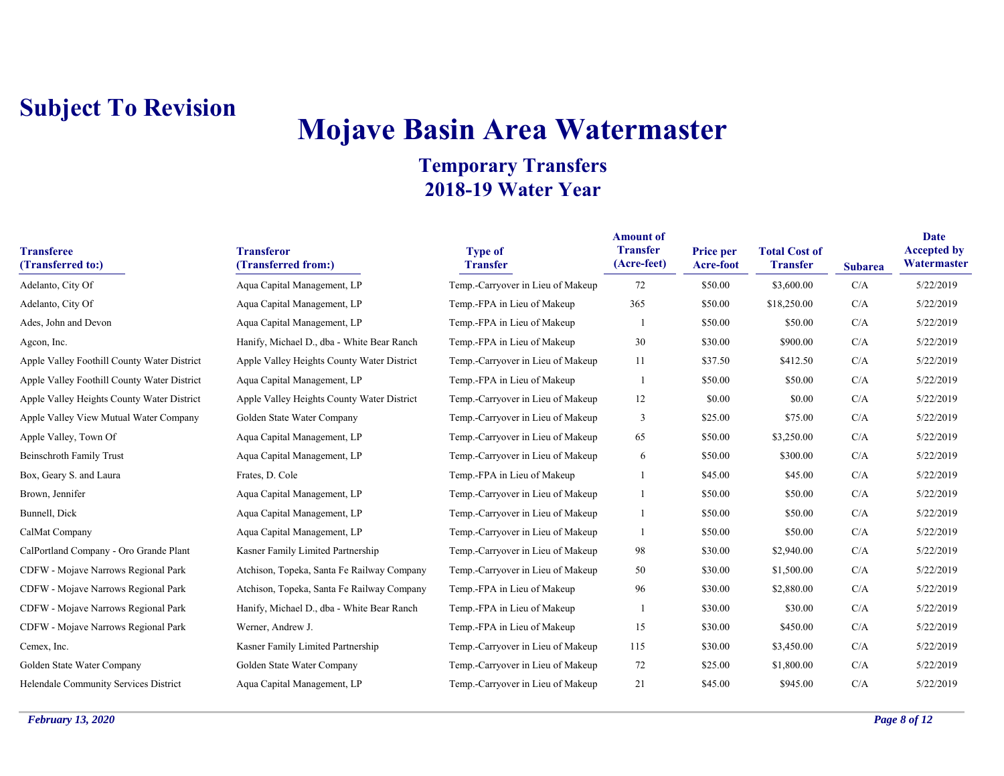# **Mojave Basin Area Watermaster**

| <b>Transferee</b><br>(Transferred to:)      | <b>Transferor</b><br>(Transferred from:)   | <b>Type of</b><br><b>Transfer</b> | <b>Amount of</b><br><b>Transfer</b><br>(Acre-feet) | Price per<br>Acre-foot | <b>Total Cost of</b><br><b>Transfer</b> | <b>Subarea</b> | Date<br><b>Accepted by</b><br>Watermaster |
|---------------------------------------------|--------------------------------------------|-----------------------------------|----------------------------------------------------|------------------------|-----------------------------------------|----------------|-------------------------------------------|
| Adelanto, City Of                           | Aqua Capital Management, LP                | Temp.-Carryover in Lieu of Makeup | 72                                                 | \$50.00                | \$3,600.00                              | C/A            | 5/22/2019                                 |
| Adelanto, City Of                           | Aqua Capital Management, LP                | Temp.-FPA in Lieu of Makeup       | 365                                                | \$50.00                | \$18,250.00                             | C/A            | 5/22/2019                                 |
| Ades, John and Devon                        | Aqua Capital Management, LP                | Temp.-FPA in Lieu of Makeup       |                                                    | \$50.00                | \$50.00                                 | C/A            | 5/22/2019                                 |
| Agcon, Inc.                                 | Hanify, Michael D., dba - White Bear Ranch | Temp.-FPA in Lieu of Makeup       | 30                                                 | \$30.00                | \$900.00                                | C/A            | 5/22/2019                                 |
| Apple Valley Foothill County Water District | Apple Valley Heights County Water District | Temp.-Carryover in Lieu of Makeup | 11                                                 | \$37.50                | \$412.50                                | C/A            | 5/22/2019                                 |
| Apple Valley Foothill County Water District | Aqua Capital Management, LP                | Temp.-FPA in Lieu of Makeup       |                                                    | \$50.00                | \$50.00                                 | C/A            | 5/22/2019                                 |
| Apple Valley Heights County Water District  | Apple Valley Heights County Water District | Temp.-Carryover in Lieu of Makeup | 12                                                 | \$0.00                 | \$0.00                                  | C/A            | 5/22/2019                                 |
| Apple Valley View Mutual Water Company      | Golden State Water Company                 | Temp.-Carryover in Lieu of Makeup | 3                                                  | \$25.00                | \$75.00                                 | C/A            | 5/22/2019                                 |
| Apple Valley, Town Of                       | Aqua Capital Management, LP                | Temp.-Carryover in Lieu of Makeup | 65                                                 | \$50.00                | \$3,250.00                              | C/A            | 5/22/2019                                 |
| <b>Beinschroth Family Trust</b>             | Aqua Capital Management, LP                | Temp.-Carryover in Lieu of Makeup | 6                                                  | \$50.00                | \$300.00                                | C/A            | 5/22/2019                                 |
| Box, Geary S. and Laura                     | Frates, D. Cole                            | Temp.-FPA in Lieu of Makeup       |                                                    | \$45.00                | \$45.00                                 | C/A            | 5/22/2019                                 |
| Brown, Jennifer                             | Aqua Capital Management, LP                | Temp.-Carryover in Lieu of Makeup |                                                    | \$50.00                | \$50.00                                 | C/A            | 5/22/2019                                 |
| Bunnell, Dick                               | Aqua Capital Management, LP                | Temp.-Carryover in Lieu of Makeup |                                                    | \$50.00                | \$50.00                                 | C/A            | 5/22/2019                                 |
| CalMat Company                              | Aqua Capital Management, LP                | Temp.-Carryover in Lieu of Makeup | -1                                                 | \$50.00                | \$50.00                                 | C/A            | 5/22/2019                                 |
| CalPortland Company - Oro Grande Plant      | Kasner Family Limited Partnership          | Temp.-Carryover in Lieu of Makeup | 98                                                 | \$30.00                | \$2,940.00                              | C/A            | 5/22/2019                                 |
| CDFW - Mojave Narrows Regional Park         | Atchison, Topeka, Santa Fe Railway Company | Temp.-Carryover in Lieu of Makeup | 50                                                 | \$30.00                | \$1,500.00                              | C/A            | 5/22/2019                                 |
| CDFW - Mojave Narrows Regional Park         | Atchison, Topeka, Santa Fe Railway Company | Temp.-FPA in Lieu of Makeup       | 96                                                 | \$30.00                | \$2,880.00                              | C/A            | 5/22/2019                                 |
| CDFW - Mojave Narrows Regional Park         | Hanify, Michael D., dba - White Bear Ranch | Temp.-FPA in Lieu of Makeup       |                                                    | \$30.00                | \$30.00                                 | C/A            | 5/22/2019                                 |
| CDFW - Mojave Narrows Regional Park         | Werner, Andrew J.                          | Temp.-FPA in Lieu of Makeup       | 15                                                 | \$30.00                | \$450.00                                | C/A            | 5/22/2019                                 |
| Cemex, Inc.                                 | Kasner Family Limited Partnership          | Temp.-Carryover in Lieu of Makeup | 115                                                | \$30.00                | \$3,450.00                              | C/A            | 5/22/2019                                 |
| Golden State Water Company                  | Golden State Water Company                 | Temp.-Carryover in Lieu of Makeup | 72                                                 | \$25.00                | \$1,800.00                              | C/A            | 5/22/2019                                 |
| Helendale Community Services District       | Aqua Capital Management, LP                | Temp.-Carryover in Lieu of Makeup | 21                                                 | \$45.00                | \$945.00                                | C/A            | 5/22/2019                                 |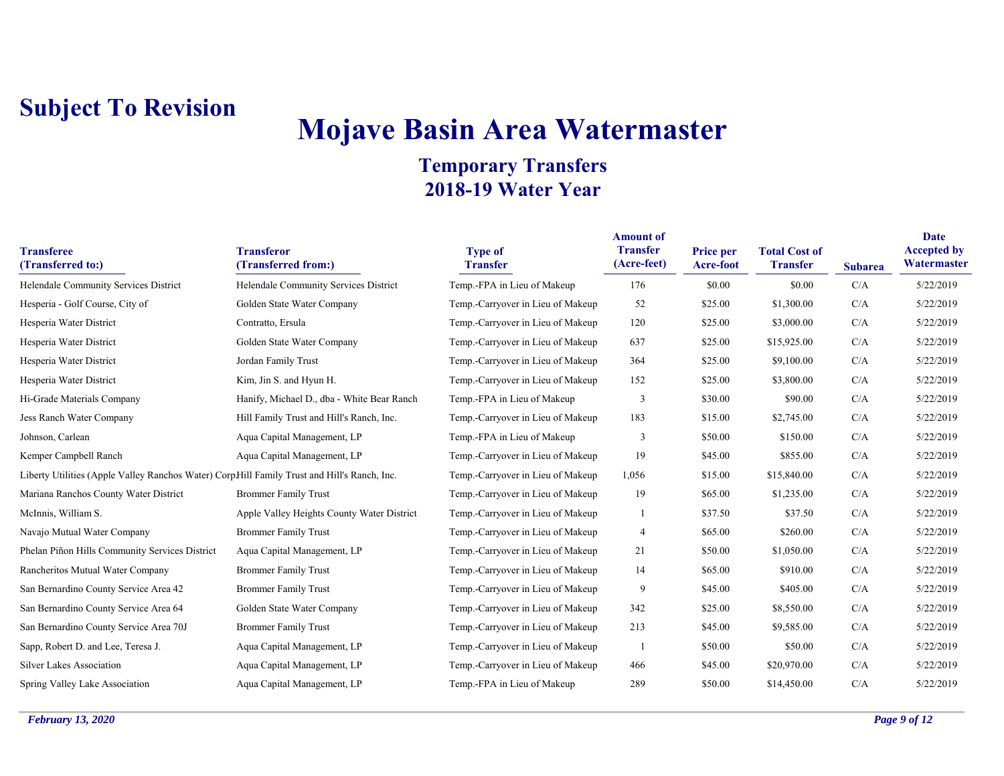# **Mojave Basin Area Watermaster**

| <b>Transferee</b><br>(Transferred to:)                                                      | <b>Transferor</b><br>(Transferred from:)   | <b>Type of</b><br><b>Transfer</b> | <b>Amount of</b><br><b>Transfer</b><br>(Acre-feet) | <b>Price per</b><br>Acre-foot | <b>Total Cost of</b><br><b>Transfer</b> | <b>Subarea</b> | <b>Date</b><br><b>Accepted by</b><br>Watermaster |
|---------------------------------------------------------------------------------------------|--------------------------------------------|-----------------------------------|----------------------------------------------------|-------------------------------|-----------------------------------------|----------------|--------------------------------------------------|
| Helendale Community Services District                                                       | Helendale Community Services District      | Temp.-FPA in Lieu of Makeup       | 176                                                | \$0.00                        | \$0.00                                  | C/A            | 5/22/2019                                        |
| Hesperia - Golf Course, City of                                                             | Golden State Water Company                 | Temp.-Carryover in Lieu of Makeup | 52                                                 | \$25.00                       | \$1,300.00                              | C/A            | 5/22/2019                                        |
| Hesperia Water District                                                                     | Contratto, Ersula                          | Temp.-Carryover in Lieu of Makeup | 120                                                | \$25.00                       | \$3,000.00                              | C/A            | 5/22/2019                                        |
| Hesperia Water District                                                                     | Golden State Water Company                 | Temp.-Carryover in Lieu of Makeup | 637                                                | \$25.00                       | \$15,925.00                             | C/A            | 5/22/2019                                        |
| Hesperia Water District                                                                     | Jordan Family Trust                        | Temp.-Carryover in Lieu of Makeup | 364                                                | \$25.00                       | \$9,100.00                              | C/A            | 5/22/2019                                        |
| Hesperia Water District                                                                     | Kim, Jin S. and Hyun H.                    | Temp.-Carryover in Lieu of Makeup | 152                                                | \$25.00                       | \$3,800.00                              | C/A            | 5/22/2019                                        |
| Hi-Grade Materials Company                                                                  | Hanify, Michael D., dba - White Bear Ranch | Temp.-FPA in Lieu of Makeup       | 3                                                  | \$30.00                       | \$90.00                                 | C/A            | 5/22/2019                                        |
| Jess Ranch Water Company                                                                    | Hill Family Trust and Hill's Ranch, Inc.   | Temp.-Carryover in Lieu of Makeup | 183                                                | \$15.00                       | \$2,745.00                              | C/A            | 5/22/2019                                        |
| Johnson, Carlean                                                                            | Aqua Capital Management, LP                | Temp.-FPA in Lieu of Makeup       | 3                                                  | \$50.00                       | \$150.00                                | C/A            | 5/22/2019                                        |
| Kemper Campbell Ranch                                                                       | Aqua Capital Management, LP                | Temp.-Carryover in Lieu of Makeup | 19                                                 | \$45.00                       | \$855.00                                | C/A            | 5/22/2019                                        |
| Liberty Utilities (Apple Valley Ranchos Water) CorpHill Family Trust and Hill's Ranch, Inc. |                                            | Temp.-Carryover in Lieu of Makeup | 1,056                                              | \$15.00                       | \$15,840.00                             | C/A            | 5/22/2019                                        |
| Mariana Ranchos County Water District                                                       | <b>Brommer Family Trust</b>                | Temp.-Carryover in Lieu of Makeup | 19                                                 | \$65.00                       | \$1,235.00                              | C/A            | 5/22/2019                                        |
| McInnis, William S.                                                                         | Apple Valley Heights County Water District | Temp.-Carryover in Lieu of Makeup |                                                    | \$37.50                       | \$37.50                                 | C/A            | 5/22/2019                                        |
| Navajo Mutual Water Company                                                                 | <b>Brommer Family Trust</b>                | Temp.-Carryover in Lieu of Makeup | $\overline{4}$                                     | \$65.00                       | \$260.00                                | C/A            | 5/22/2019                                        |
| Phelan Piñon Hills Community Services District                                              | Aqua Capital Management, LP                | Temp.-Carryover in Lieu of Makeup | 21                                                 | \$50.00                       | \$1,050.00                              | C/A            | 5/22/2019                                        |
| Rancheritos Mutual Water Company                                                            | <b>Brommer Family Trust</b>                | Temp.-Carryover in Lieu of Makeup | 14                                                 | \$65.00                       | \$910.00                                | C/A            | 5/22/2019                                        |
| San Bernardino County Service Area 42                                                       | <b>Brommer Family Trust</b>                | Temp.-Carryover in Lieu of Makeup | 9                                                  | \$45.00                       | \$405.00                                | C/A            | 5/22/2019                                        |
| San Bernardino County Service Area 64                                                       | Golden State Water Company                 | Temp.-Carryover in Lieu of Makeup | 342                                                | \$25.00                       | \$8,550.00                              | C/A            | 5/22/2019                                        |
| San Bernardino County Service Area 70J                                                      | <b>Brommer Family Trust</b>                | Temp.-Carryover in Lieu of Makeup | 213                                                | \$45.00                       | \$9,585.00                              | C/A            | 5/22/2019                                        |
| Sapp, Robert D. and Lee, Teresa J.                                                          | Aqua Capital Management, LP                | Temp.-Carryover in Lieu of Makeup |                                                    | \$50.00                       | \$50.00                                 | C/A            | 5/22/2019                                        |
| <b>Silver Lakes Association</b>                                                             | Aqua Capital Management, LP                | Temp.-Carryover in Lieu of Makeup | 466                                                | \$45.00                       | \$20,970.00                             | C/A            | 5/22/2019                                        |
| Spring Valley Lake Association                                                              | Aqua Capital Management, LP                | Temp.-FPA in Lieu of Makeup       | 289                                                | \$50.00                       | \$14,450.00                             | C/A            | 5/22/2019                                        |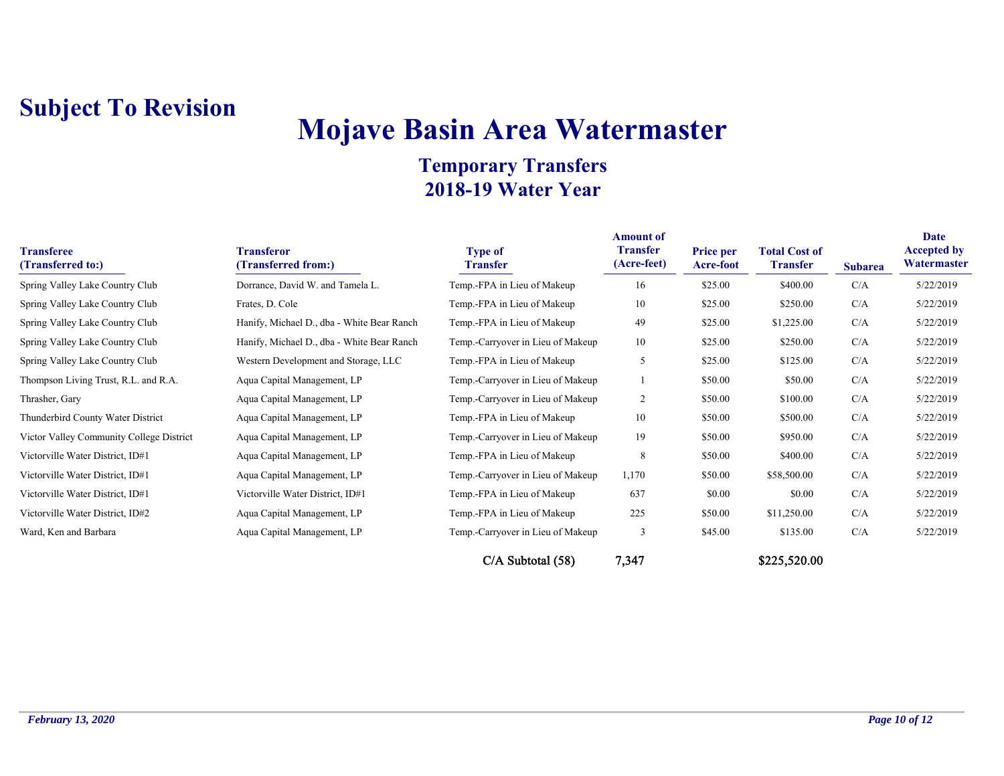# **Mojave Basin Area Watermaster**

| <b>Transferee</b><br>(Transferred to:)   | <b>Transferor</b><br>(Transferred from:)   | <b>Type of</b><br><b>Transfer</b> | <b>Amount of</b><br><b>Transfer</b><br>(Acre-feet) | <b>Price per</b><br><b>Acre-foot</b> | <b>Total Cost of</b><br><b>Transfer</b> | <b>Subarea</b> | <b>Date</b><br><b>Accepted by</b><br>Watermaster |
|------------------------------------------|--------------------------------------------|-----------------------------------|----------------------------------------------------|--------------------------------------|-----------------------------------------|----------------|--------------------------------------------------|
| Spring Valley Lake Country Club          | Dorrance, David W. and Tamela L.           | Temp.-FPA in Lieu of Makeup       | 16                                                 | \$25.00                              | \$400.00                                | C/A            | 5/22/2019                                        |
| Spring Valley Lake Country Club          | Frates, D. Cole                            | Temp.-FPA in Lieu of Makeup       | 10                                                 | \$25.00                              | \$250.00                                | C/A            | 5/22/2019                                        |
| Spring Valley Lake Country Club          | Hanify, Michael D., dba - White Bear Ranch | Temp.-FPA in Lieu of Makeup       | 49                                                 | \$25.00                              | \$1,225.00                              | C/A            | 5/22/2019                                        |
| Spring Valley Lake Country Club          | Hanify, Michael D., dba - White Bear Ranch | Temp.-Carryover in Lieu of Makeup | 10                                                 | \$25.00                              | \$250.00                                | C/A            | 5/22/2019                                        |
| Spring Valley Lake Country Club          | Western Development and Storage, LLC       | Temp.-FPA in Lieu of Makeup       | 5                                                  | \$25.00                              | \$125.00                                | C/A            | 5/22/2019                                        |
| Thompson Living Trust, R.L. and R.A.     | Aqua Capital Management, LP                | Temp.-Carryover in Lieu of Makeup |                                                    | \$50.00                              | \$50.00                                 | C/A            | 5/22/2019                                        |
| Thrasher, Gary                           | Aqua Capital Management, LP                | Temp.-Carryover in Lieu of Makeup | $\overline{c}$                                     | \$50.00                              | \$100.00                                | C/A            | 5/22/2019                                        |
| Thunderbird County Water District        | Aqua Capital Management, LP                | Temp.-FPA in Lieu of Makeup       | 10                                                 | \$50.00                              | \$500.00                                | C/A            | 5/22/2019                                        |
| Victor Valley Community College District | Aqua Capital Management, LP                | Temp.-Carryover in Lieu of Makeup | 19                                                 | \$50.00                              | \$950.00                                | C/A            | 5/22/2019                                        |
| Victorville Water District, ID#1         | Aqua Capital Management, LP                | Temp.-FPA in Lieu of Makeup       | 8                                                  | \$50.00                              | \$400.00                                | C/A            | 5/22/2019                                        |
| Victorville Water District, ID#1         | Aqua Capital Management, LP                | Temp.-Carryover in Lieu of Makeup | 1,170                                              | \$50.00                              | \$58,500.00                             | C/A            | 5/22/2019                                        |
| Victorville Water District, ID#1         | Victorville Water District, ID#1           | Temp.-FPA in Lieu of Makeup       | 637                                                | \$0.00                               | \$0.00                                  | C/A            | 5/22/2019                                        |
| Victorville Water District, ID#2         | Aqua Capital Management, LP                | Temp.-FPA in Lieu of Makeup       | 225                                                | \$50.00                              | \$11,250.00                             | C/A            | 5/22/2019                                        |
| Ward, Ken and Barbara                    | Aqua Capital Management, LP                | Temp.-Carryover in Lieu of Makeup | 3                                                  | \$45.00                              | \$135.00                                | C/A            | 5/22/2019                                        |
|                                          |                                            | $C/A$ Subtotal $(58)$             | 7,347                                              |                                      | \$225,520.00                            |                |                                                  |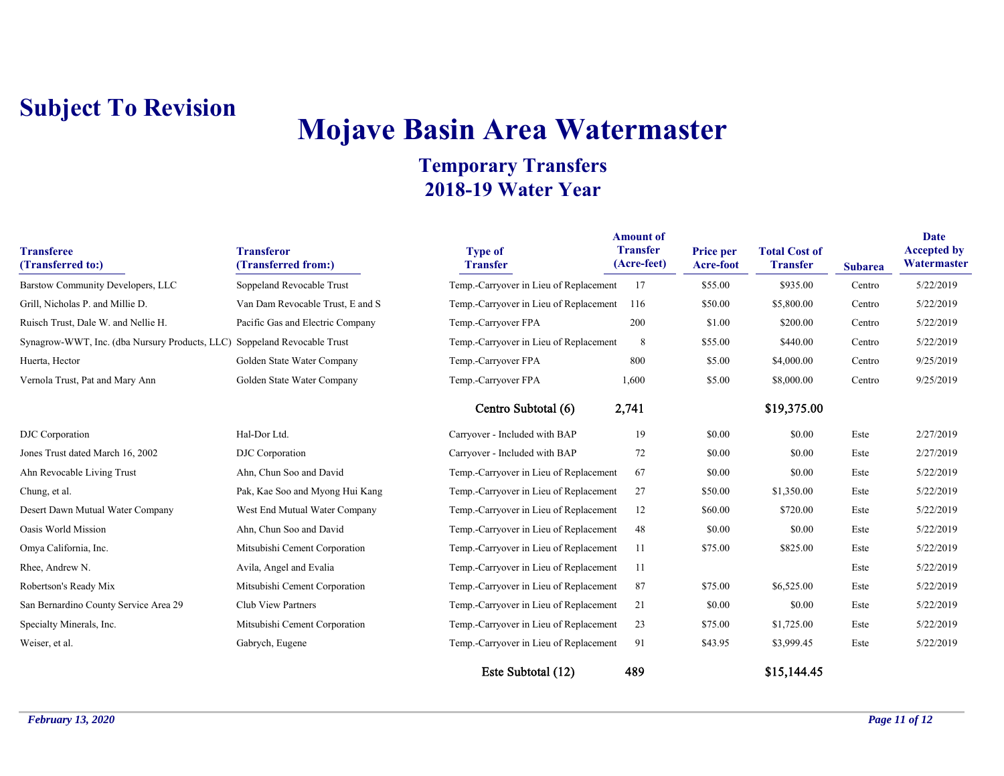# **Mojave Basin Area Watermaster**

| <b>Transferee</b><br>(Transferred to:)                                   | <b>Transferor</b><br>(Transferred from:) | <b>Type of</b><br><b>Transfer</b>      | <b>Amount of</b><br><b>Transfer</b><br>(Acre-feet) | <b>Price per</b><br>Acre-foot | <b>Total Cost of</b><br><b>Transfer</b> | <b>Subarea</b> | <b>Date</b><br><b>Accepted by</b><br>Watermaster |
|--------------------------------------------------------------------------|------------------------------------------|----------------------------------------|----------------------------------------------------|-------------------------------|-----------------------------------------|----------------|--------------------------------------------------|
| Barstow Community Developers, LLC                                        | Soppeland Revocable Trust                | Temp.-Carryover in Lieu of Replacement | 17                                                 | \$55.00                       | \$935.00                                | Centro         | 5/22/2019                                        |
| Grill, Nicholas P. and Millie D.                                         | Van Dam Revocable Trust, E and S         | Temp.-Carryover in Lieu of Replacement | 116                                                | \$50.00                       | \$5,800.00                              | Centro         | 5/22/2019                                        |
| Ruisch Trust, Dale W. and Nellie H.                                      | Pacific Gas and Electric Company         | Temp.-Carryover FPA                    | 200                                                | \$1.00                        | \$200.00                                | Centro         | 5/22/2019                                        |
| Synagrow-WWT, Inc. (dba Nursury Products, LLC) Soppeland Revocable Trust |                                          | Temp.-Carryover in Lieu of Replacement | 8                                                  | \$55.00                       | \$440.00                                | Centro         | 5/22/2019                                        |
| Huerta, Hector                                                           | Golden State Water Company               | Temp.-Carryover FPA                    | 800                                                | \$5.00                        | \$4,000.00                              | Centro         | 9/25/2019                                        |
| Vernola Trust, Pat and Mary Ann                                          | Golden State Water Company               | Temp.-Carryover FPA                    | 1,600                                              | \$5.00                        | \$8,000.00                              | Centro         | 9/25/2019                                        |
|                                                                          |                                          | Centro Subtotal (6)                    | 2,741                                              |                               | \$19,375.00                             |                |                                                  |
| DJC Corporation                                                          | Hal-Dor Ltd.                             | Carryover - Included with BAP          | 19                                                 | \$0.00                        | \$0.00                                  | Este           | 2/27/2019                                        |
| Jones Trust dated March 16, 2002                                         | DJC Corporation                          | Carryover - Included with BAP          | 72                                                 | \$0.00                        | \$0.00                                  | Este           | 2/27/2019                                        |
| Ahn Revocable Living Trust                                               | Ahn, Chun Soo and David                  | Temp.-Carryover in Lieu of Replacement | 67                                                 | \$0.00                        | \$0.00                                  | Este           | 5/22/2019                                        |
| Chung, et al.                                                            | Pak, Kae Soo and Myong Hui Kang          | Temp.-Carryover in Lieu of Replacement | 27                                                 | \$50.00                       | \$1,350.00                              | Este           | 5/22/2019                                        |
| Desert Dawn Mutual Water Company                                         | West End Mutual Water Company            | Temp.-Carryover in Lieu of Replacement | 12                                                 | \$60.00                       | \$720.00                                | Este           | 5/22/2019                                        |
| Oasis World Mission                                                      | Ahn, Chun Soo and David                  | Temp.-Carryover in Lieu of Replacement | 48                                                 | \$0.00                        | \$0.00                                  | Este           | 5/22/2019                                        |
| Omya California, Inc.                                                    | Mitsubishi Cement Corporation            | Temp.-Carryover in Lieu of Replacement | 11                                                 | \$75.00                       | \$825.00                                | Este           | 5/22/2019                                        |
| Rhee, Andrew N.                                                          | Avila, Angel and Evalia                  | Temp.-Carryover in Lieu of Replacement | 11                                                 |                               |                                         | Este           | 5/22/2019                                        |
| Robertson's Ready Mix                                                    | Mitsubishi Cement Corporation            | Temp.-Carryover in Lieu of Replacement | 87                                                 | \$75.00                       | \$6,525.00                              | Este           | 5/22/2019                                        |
| San Bernardino County Service Area 29                                    | Club View Partners                       | Temp.-Carryover in Lieu of Replacement | 21                                                 | \$0.00                        | \$0.00                                  | Este           | 5/22/2019                                        |
| Specialty Minerals, Inc.                                                 | Mitsubishi Cement Corporation            | Temp.-Carryover in Lieu of Replacement | 23                                                 | \$75.00                       | \$1,725.00                              | Este           | 5/22/2019                                        |
| Weiser, et al.                                                           | Gabrych, Eugene                          | Temp.-Carryover in Lieu of Replacement | 91                                                 | \$43.95                       | \$3,999.45                              | Este           | 5/22/2019                                        |
|                                                                          |                                          | Este Subtotal (12)                     | 489                                                |                               | \$15,144.45                             |                |                                                  |